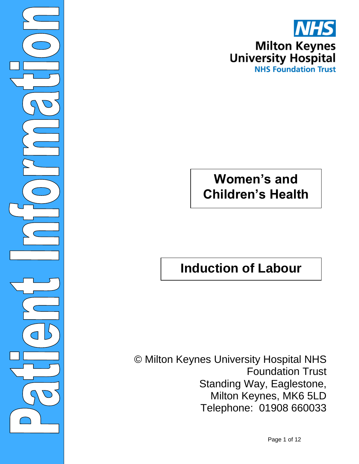

 $\overline{\ }$ 

©

## **Women's and Children's Health**

# **Induction of Labour**

© Milton Keynes University Hospital NHS Foundation Trust Standing Way, Eaglestone, Milton Keynes, MK6 5LD Telephone: 01908 660033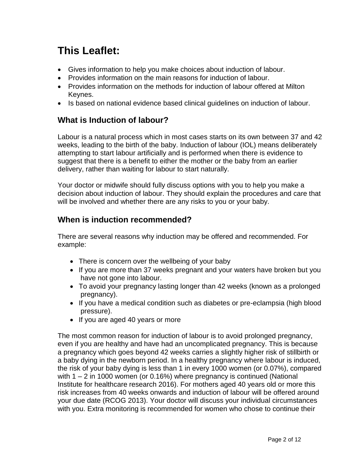## **This Leaflet:**

- Gives information to help you make choices about induction of labour.
- Provides information on the main reasons for induction of labour.
- Provides information on the methods for induction of labour offered at Milton Keynes.
- Is based on national evidence based clinical guidelines on induction of labour.

## **What is Induction of labour?**

Labour is a natural process which in most cases starts on its own between 37 and 42 weeks, leading to the birth of the baby. Induction of labour (IOL) means deliberately attempting to start labour artificially and is performed when there is evidence to suggest that there is a benefit to either the mother or the baby from an earlier delivery, rather than waiting for labour to start naturally.

Your doctor or midwife should fully discuss options with you to help you make a decision about induction of labour. They should explain the procedures and care that will be involved and whether there are any risks to you or your baby.

## **When is induction recommended?**

There are several reasons why induction may be offered and recommended. For example:

- There is concern over the wellbeing of your baby
- If you are more than 37 weeks pregnant and your waters have broken but you have not gone into labour.
- To avoid your pregnancy lasting longer than 42 weeks (known as a prolonged pregnancy).
- If you have a medical condition such as diabetes or pre-eclampsia (high blood pressure).
- If you are aged 40 years or more

The most common reason for induction of labour is to avoid prolonged pregnancy, even if you are healthy and have had an uncomplicated pregnancy. This is because a pregnancy which goes beyond 42 weeks carries a slightly higher risk of stillbirth or a baby dying in the newborn period. In a healthy pregnancy where labour is induced, the risk of your baby dying is less than 1 in every 1000 women (or 0.07%), compared with 1 – 2 in 1000 women (or 0.16%) where pregnancy is continued (National Institute for healthcare research 2016). For mothers aged 40 years old or more this risk increases from 40 weeks onwards and induction of labour will be offered around your due date (RCOG 2013). Your doctor will discuss your individual circumstances with you. Extra monitoring is recommended for women who chose to continue their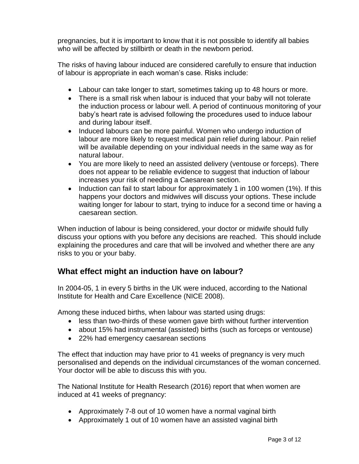pregnancies, but it is important to know that it is not possible to identify all babies who will be affected by stillbirth or death in the newborn period.

The risks of having labour induced are considered carefully to ensure that induction of labour is appropriate in each woman's case. Risks include:

- Labour can take longer to start, sometimes taking up to 48 hours or more.
- There is a small risk when labour is induced that your baby will not tolerate the induction process or labour well. A period of continuous monitoring of your baby's heart rate is advised following the procedures used to induce labour and during labour itself.
- Induced labours can be more painful. Women who undergo induction of labour are more likely to request medical pain relief during labour. Pain relief will be available depending on your individual needs in the same way as for natural labour.
- You are more likely to need an assisted delivery (ventouse or forceps). There does not appear to be reliable evidence to suggest that induction of labour increases your risk of needing a Caesarean section.
- Induction can fail to start labour for approximately 1 in 100 women (1%). If this happens your doctors and midwives will discuss your options. These include waiting longer for labour to start, trying to induce for a second time or having a caesarean section.

When induction of labour is being considered, your doctor or midwife should fully discuss your options with you before any decisions are reached. This should include explaining the procedures and care that will be involved and whether there are any risks to you or your baby.

## **What effect might an induction have on labour?**

In 2004-05, 1 in every 5 births in the UK were induced, according to the National Institute for Health and Care Excellence (NICE 2008).

Among these induced births, when labour was started using drugs:

- less than two-thirds of these women gave birth without further intervention
- about 15% had instrumental (assisted) births (such as forceps or ventouse)
- 22% had emergency caesarean sections

The effect that induction may have prior to 41 weeks of pregnancy is very much personalised and depends on the individual circumstances of the woman concerned. Your doctor will be able to discuss this with you.

The National Institute for Health Research (2016) report that when women are induced at 41 weeks of pregnancy:

- Approximately 7-8 out of 10 women have a normal vaginal birth
- Approximately 1 out of 10 women have an assisted vaginal birth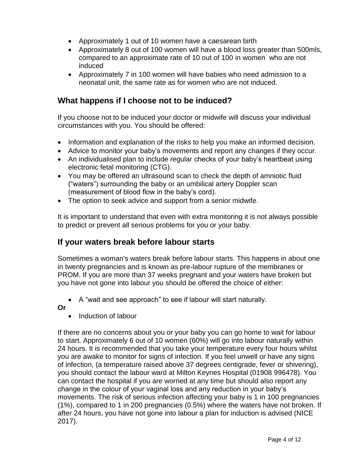- Approximately 1 out of 10 women have a caesarean birth
- Approximately 8 out of 100 women will have a blood loss greater than 500mls, compared to an approximate rate of 10 out of 100 in women who are not induced
- Approximately 7 in 100 women will have babies who need admission to a neonatal unit, the same rate as for women who are not induced.

## **What happens if I choose not to be induced?**

If you choose not to be induced your doctor or midwife will discuss your individual circumstances with you. You should be offered:

- Information and explanation of the risks to help you make an informed decision.
- Advice to monitor your baby's movements and report any changes if they occur.
- An individualised plan to include regular checks of your baby's heartbeat using electronic fetal monitoring (CTG).
- You may be offered an ultrasound scan to check the depth of amniotic fluid ("waters") surrounding the baby or an umbilical artery Doppler scan (measurement of blood flow in the baby's cord).
- The option to seek advice and support from a senior midwife.

It is important to understand that even with extra monitoring it is not always possible to predict or prevent all serious problems for you or your baby.

## **If your waters break before labour starts**

Sometimes a woman's waters break before labour starts. This happens in about one in twenty pregnancies and is known as pre-labour rupture of the membranes or PROM. If you are more than 37 weeks pregnant and your waters have broken but you have not gone into labour you should be offered the choice of either:

A "wait and see approach" to see if labour will start naturally.

**Or**

• Induction of labour

If there are no concerns about you or your baby you can go home to wait for labour to start. Approximately 6 out of 10 women (60%) will go into labour naturally within 24 hours. It is recommended that you take your temperature every four hours whilst you are awake to monitor for signs of infection. If you feel unwell or have any signs of infection, (a temperature raised above 37 degrees centigrade, fever or shivering), you should contact the labour ward at Milton Keynes Hospital (01908 996478). You can contact the hospital if you are worried at any time but should also report any change in the colour of your vaginal loss and any reduction in your baby's movements. The risk of serious infection affecting your baby is 1 in 100 pregnancies (1%), compared to 1 in 200 pregnancies (0.5%) where the waters have not broken. If after 24 hours, you have not gone into labour a plan for induction is advised (NICE 2017).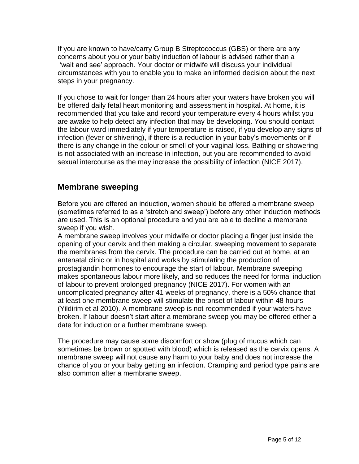If you are known to have/carry Group B Streptococcus (GBS) or there are any concerns about you or your baby induction of labour is advised rather than a 'wait and see' approach. Your doctor or midwife will discuss your individual circumstances with you to enable you to make an informed decision about the next steps in your pregnancy.

If you chose to wait for longer than 24 hours after your waters have broken you will be offered daily fetal heart monitoring and assessment in hospital. At home, it is recommended that you take and record your temperature every 4 hours whilst you are awake to help detect any infection that may be developing. You should contact the labour ward immediately if your temperature is raised, if you develop any signs of infection (fever or shivering), if there is a reduction in your baby's movements or if there is any change in the colour or smell of your vaginal loss. Bathing or showering is not associated with an increase in infection, but you are recommended to avoid sexual intercourse as the may increase the possibility of infection (NICE 2017).

#### **Membrane sweeping**

Before you are offered an induction, women should be offered a membrane sweep (sometimes referred to as a 'stretch and sweep') before any other induction methods are used. This is an optional procedure and you are able to decline a membrane sweep if you wish.

A membrane sweep involves your midwife or doctor placing a finger just inside the opening of your cervix and then making a circular, sweeping movement to separate the membranes from the cervix. The procedure can be carried out at home, at an antenatal clinic or in hospital and works by stimulating the production of prostaglandin hormones to encourage the start of labour. Membrane sweeping makes spontaneous labour more likely, and so reduces the need for formal induction of labour to prevent prolonged pregnancy (NICE 2017). For women with an uncomplicated pregnancy after 41 weeks of pregnancy, there is a 50% chance that at least one membrane sweep will stimulate the onset of labour within 48 hours (Yildirim et al 2010). A membrane sweep is not recommended if your waters have broken. If labour doesn't start after a membrane sweep you may be offered either a date for induction or a further membrane sweep.

The procedure may cause some discomfort or show (plug of mucus which can sometimes be brown or spotted with blood) which is released as the cervix opens. A membrane sweep will not cause any harm to your baby and does not increase the chance of you or your baby getting an infection. Cramping and period type pains are also common after a membrane sweep.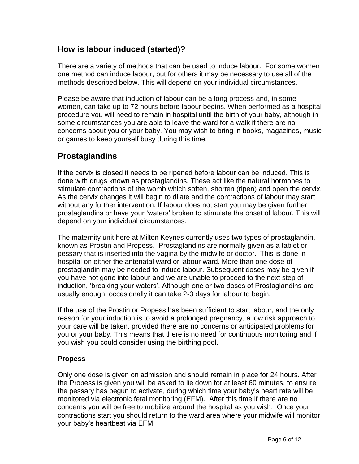## **How is labour induced (started)?**

There are a variety of methods that can be used to induce labour. For some women one method can induce labour, but for others it may be necessary to use all of the methods described below. This will depend on your individual circumstances.

Please be aware that induction of labour can be a long process and, in some women, can take up to 72 hours before labour begins. When performed as a hospital procedure you will need to remain in hospital until the birth of your baby, although in some circumstances you are able to leave the ward for a walk if there are no concerns about you or your baby. You may wish to bring in books, magazines, music or games to keep yourself busy during this time.

## **Prostaglandins**

If the cervix is closed it needs to be ripened before labour can be induced. This is done with drugs known as prostaglandins. These act like the natural hormones to stimulate contractions of the womb which soften, shorten (ripen) and open the cervix. As the cervix changes it will begin to dilate and the contractions of labour may start without any further intervention. If labour does not start you may be given further prostaglandins or have your 'waters' broken to stimulate the onset of labour. This will depend on your individual circumstances.

The maternity unit here at Milton Keynes currently uses two types of prostaglandin, known as Prostin and Propess. Prostaglandins are normally given as a tablet or pessary that is inserted into the vagina by the midwife or doctor. This is done in hospital on either the antenatal ward or labour ward. More than one dose of prostaglandin may be needed to induce labour. Subsequent doses may be given if you have not gone into labour and we are unable to proceed to the next step of induction, 'breaking your waters'. Although one or two doses of Prostaglandins are usually enough, occasionally it can take 2-3 days for labour to begin.

If the use of the Prostin or Propess has been sufficient to start labour, and the only reason for your induction is to avoid a prolonged pregnancy, a low risk approach to your care will be taken, provided there are no concerns or anticipated problems for you or your baby. This means that there is no need for continuous monitoring and if you wish you could consider using the birthing pool.

#### **Propess**

Only one dose is given on admission and should remain in place for 24 hours. After the Propess is given you will be asked to lie down for at least 60 minutes, to ensure the pessary has begun to activate, during which time your baby's heart rate will be monitored via electronic fetal monitoring (EFM). After this time if there are no concerns you will be free to mobilize around the hospital as you wish. Once your contractions start you should return to the ward area where your midwife will monitor your baby's heartbeat via EFM.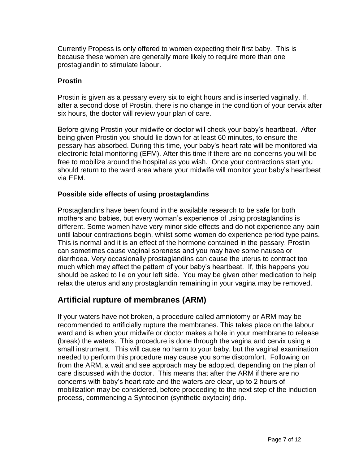Currently Propess is only offered to women expecting their first baby. This is because these women are generally more likely to require more than one prostaglandin to stimulate labour.

#### **Prostin**

Prostin is given as a pessary every six to eight hours and is inserted vaginally. If, after a second dose of Prostin, there is no change in the condition of your cervix after six hours, the doctor will review your plan of care.

Before giving Prostin your midwife or doctor will check your baby's heartbeat. After being given Prostin you should lie down for at least 60 minutes, to ensure the pessary has absorbed. During this time, your baby's heart rate will be monitored via electronic fetal monitoring (EFM). After this time if there are no concerns you will be free to mobilize around the hospital as you wish. Once your contractions start you should return to the ward area where your midwife will monitor your baby's heartbeat via EFM.

#### **Possible side effects of using prostaglandins**

Prostaglandins have been found in the available research to be safe for both mothers and babies, but every woman's experience of using prostaglandins is different. Some women have very minor side effects and do not experience any pain until labour contractions begin, whilst some women do experience period type pains. This is normal and it is an effect of the hormone contained in the pessary. Prostin can sometimes cause vaginal soreness and you may have some nausea or diarrhoea. Very occasionally prostaglandins can cause the uterus to contract too much which may affect the pattern of your baby's heartbeat. If, this happens you should be asked to lie on your left side. You may be given other medication to help relax the uterus and any prostaglandin remaining in your vagina may be removed.

### **Artificial rupture of membranes (ARM)**

If your waters have not broken, a procedure called amniotomy or ARM may be recommended to artificially rupture the membranes. This takes place on the labour ward and is when your midwife or doctor makes a hole in your membrane to release (break) the waters. This procedure is done through the vagina and cervix using a small instrument. This will cause no harm to your baby, but the vaginal examination needed to perform this procedure may cause you some discomfort. Following on from the ARM, a wait and see approach may be adopted, depending on the plan of care discussed with the doctor. This means that after the ARM if there are no concerns with baby's heart rate and the waters are clear, up to 2 hours of mobilization may be considered, before proceeding to the next step of the induction process, commencing a Syntocinon (synthetic oxytocin) drip.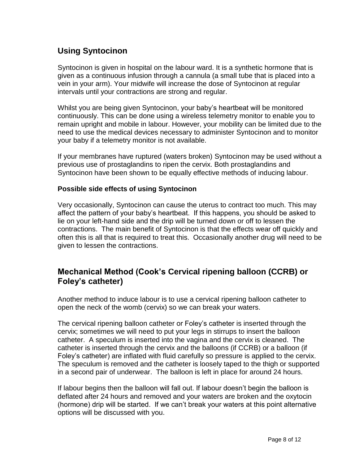## **Using Syntocinon**

Syntocinon is given in hospital on the labour ward. It is a synthetic hormone that is given as a continuous infusion through a cannula (a small tube that is placed into a vein in your arm). Your midwife will increase the dose of Syntocinon at regular intervals until your contractions are strong and regular.

Whilst you are being given Syntocinon, your baby's heartbeat will be monitored continuously. This can be done using a wireless telemetry monitor to enable you to remain upright and mobile in labour. However, your mobility can be limited due to the need to use the medical devices necessary to administer Syntocinon and to monitor your baby if a telemetry monitor is not available.

If your membranes have ruptured (waters broken) Syntocinon may be used without a previous use of prostaglandins to ripen the cervix. Both prostaglandins and Syntocinon have been shown to be equally effective methods of inducing labour.

#### **Possible side effects of using Syntocinon**

Very occasionally, Syntocinon can cause the uterus to contract too much. This may affect the pattern of your baby's heartbeat. If this happens, you should be asked to lie on your left-hand side and the drip will be turned down or off to lessen the contractions. The main benefit of Syntocinon is that the effects wear off quickly and often this is all that is required to treat this. Occasionally another drug will need to be given to lessen the contractions.

### **Mechanical Method (Cook's Cervical ripening balloon (CCRB) or Foley's catheter)**

Another method to induce labour is to use a cervical ripening balloon catheter to open the neck of the womb (cervix) so we can break your waters.

The cervical ripening balloon catheter or Foley's catheter is inserted through the cervix; sometimes we will need to put your legs in stirrups to insert the balloon catheter. A speculum is inserted into the vagina and the cervix is cleaned. The catheter is inserted through the cervix and the balloons (if CCRB) or a balloon (if Foley's catheter) are inflated with fluid carefully so pressure is applied to the cervix. The speculum is removed and the catheter is loosely taped to the thigh or supported in a second pair of underwear. The balloon is left in place for around 24 hours.

If labour begins then the balloon will fall out. If labour doesn't begin the balloon is deflated after 24 hours and removed and your waters are broken and the oxytocin (hormone) drip will be started. If we can't break your waters at this point alternative options will be discussed with you.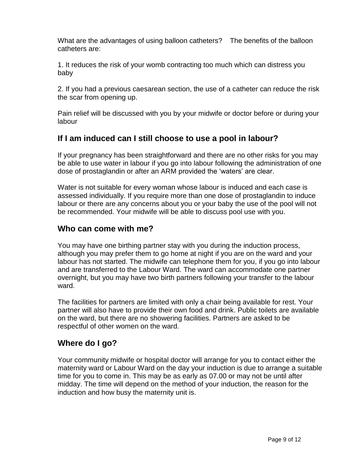What are the advantages of using balloon catheters? The benefits of the balloon catheters are:

1. It reduces the risk of your womb contracting too much which can distress you baby

2. If you had a previous caesarean section, the use of a catheter can reduce the risk the scar from opening up.

Pain relief will be discussed with you by your midwife or doctor before or during your labour

## **If I am induced can I still choose to use a pool in labour?**

If your pregnancy has been straightforward and there are no other risks for you may be able to use water in labour if you go into labour following the administration of one dose of prostaglandin or after an ARM provided the 'waters' are clear.

Water is not suitable for every woman whose labour is induced and each case is assessed individually. If you require more than one dose of prostaglandin to induce labour or there are any concerns about you or your baby the use of the pool will not be recommended. Your midwife will be able to discuss pool use with you.

## **Who can come with me?**

You may have one birthing partner stay with you during the induction process, although you may prefer them to go home at night if you are on the ward and your labour has not started. The midwife can telephone them for you, if you go into labour and are transferred to the Labour Ward. The ward can accommodate one partner overnight, but you may have two birth partners following your transfer to the labour ward.

The facilities for partners are limited with only a chair being available for rest. Your partner will also have to provide their own food and drink. Public toilets are available on the ward, but there are no showering facilities. Partners are asked to be respectful of other women on the ward.

## **Where do I go?**

Your community midwife or hospital doctor will arrange for you to contact either the maternity ward or Labour Ward on the day your induction is due to arrange a suitable time for you to come in. This may be as early as 07.00 or may not be until after midday. The time will depend on the method of your induction, the reason for the induction and how busy the maternity unit is.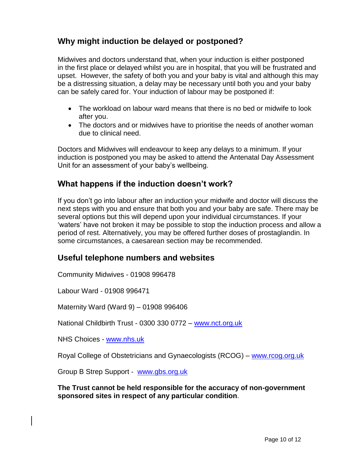## **Why might induction be delayed or postponed?**

Midwives and doctors understand that, when your induction is either postponed in the first place or delayed whilst you are in hospital, that you will be frustrated and upset. However, the safety of both you and your baby is vital and although this may be a distressing situation, a delay may be necessary until both you and your baby can be safely cared for. Your induction of labour may be postponed if:

- The workload on labour ward means that there is no bed or midwife to look after you.
- The doctors and or midwives have to prioritise the needs of another woman due to clinical need.

Doctors and Midwives will endeavour to keep any delays to a minimum. If your induction is postponed you may be asked to attend the Antenatal Day Assessment Unit for an assessment of your baby's wellbeing.

## **What happens if the induction doesn't work?**

If you don't go into labour after an induction your midwife and doctor will discuss the next steps with you and ensure that both you and your baby are safe. There may be several options but this will depend upon your individual circumstances. If your 'waters' have not broken it may be possible to stop the induction process and allow a period of rest. Alternatively, you may be offered further doses of prostaglandin. In some circumstances, a caesarean section may be recommended.

## **Useful telephone numbers and websites**

Community Midwives - 01908 996478

Labour Ward - 01908 996471

Maternity Ward (Ward 9) – 01908 996406

National Childbirth Trust - 0300 330 0772 – [www.nct.org.uk](http://www.nct.org.uk/)

NHS Choices - [www.nhs.uk](http://www.nhs.uk/)

Royal College of Obstetricians and Gynaecologists (RCOG) – [www.rcog.org.uk](http://www.rcog.org.uk/)

Group B Strep Support - [www.gbs.org.uk](http://www.gbs.org.uk/)

**The Trust cannot be held responsible for the accuracy of non-government sponsored sites in respect of any particular condition**.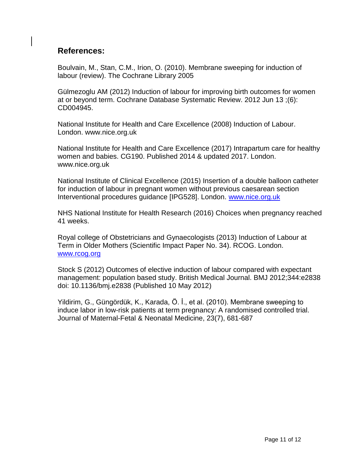## **References:**

Boulvain, M., Stan, C.M., Irion, O. (2010). Membrane sweeping for induction of labour (review). The Cochrane Library 2005

Gülmezoglu AM (2012) Induction of labour for improving birth outcomes for women at or beyond term. Cochrane Database Systematic Review. 2012 Jun 13 ;(6): CD004945.

National Institute for Health and Care Excellence (2008) Induction of Labour. London. www.nice.org.uk

National Institute for Health and Care Excellence (2017) Intrapartum care for healthy women and babies. CG190. Published 2014 & updated 2017. London. www.nice.org.uk

National Institute of Clinical Excellence (2015) Insertion of a double balloon catheter for induction of labour in pregnant women without previous caesarean section Interventional procedures guidance [IPG528]. London. [www.nice.org.uk](http://www.nice.org.uk/)

NHS National Institute for Health Research (2016) Choices when pregnancy reached 41 weeks.

Royal college of Obstetricians and Gynaecologists (2013) Induction of Labour at Term in Older Mothers (Scientific Impact Paper No. 34). RCOG. London. [www.rcog.org](http://www.rcog.org/)

Stock S (2012) Outcomes of elective induction of labour compared with expectant management: population based study. British Medical Journal. BMJ 2012;344:e2838 doi: 10.1136/bmj.e2838 (Published 10 May 2012)

Yildirim, G., Güngördük, K., Karada, Ö. İ., et al. (2010). Membrane sweeping to induce labor in low-risk patients at term pregnancy: A randomised controlled trial. Journal of Maternal-Fetal & Neonatal Medicine, 23(7), 681-687